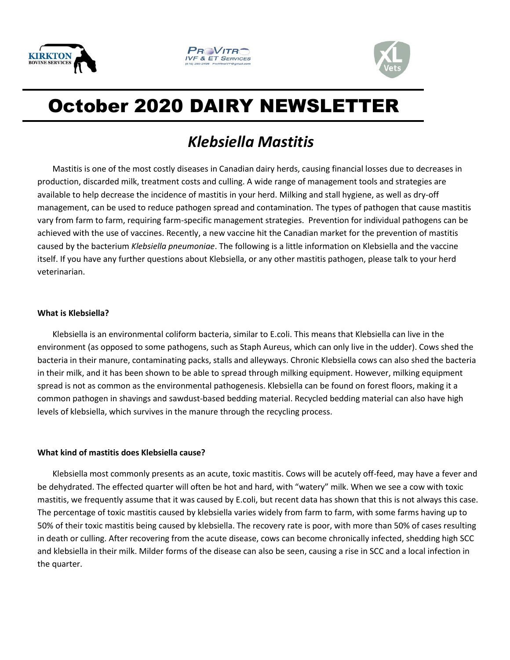





# October 2020 DAIRY NEWSLETTER

# *Klebsiella Mastitis*

Mastitis is one of the most costly diseases in Canadian dairy herds, causing financial losses due to decreases in production, discarded milk, treatment costs and culling. A wide range of management tools and strategies are available to help decrease the incidence of mastitis in your herd. Milking and stall hygiene, as well as dry-off management, can be used to reduce pathogen spread and contamination. The types of pathogen that cause mastitis vary from farm to farm, requiring farm-specific management strategies. Prevention for individual pathogens can be achieved with the use of vaccines. Recently, a new vaccine hit the Canadian market for the prevention of mastitis caused by the bacterium *Klebsiella pneumoniae*. The following is a little information on Klebsiella and the vaccine itself. If you have any further questions about Klebsiella, or any other mastitis pathogen, please talk to your herd veterinarian.

#### **What is Klebsiella?**

Klebsiella is an environmental coliform bacteria, similar to E.coli. This means that Klebsiella can live in the environment (as opposed to some pathogens, such as Staph Aureus, which can only live in the udder). Cows shed the bacteria in their manure, contaminating packs, stalls and alleyways. Chronic Klebsiella cows can also shed the bacteria in their milk, and it has been shown to be able to spread through milking equipment. However, milking equipment spread is not as common as the environmental pathogenesis. Klebsiella can be found on forest floors, making it a common pathogen in shavings and sawdust-based bedding material. Recycled bedding material can also have high levels of klebsiella, which survives in the manure through the recycling process.

## **What kind of mastitis does Klebsiella cause?**

Klebsiella most commonly presents as an acute, toxic mastitis. Cows will be acutely off-feed, may have a fever and be dehydrated. The effected quarter will often be hot and hard, with "watery" milk. When we see a cow with toxic mastitis, we frequently assume that it was caused by E.coli, but recent data has shown that this is not always this case. The percentage of toxic mastitis caused by klebsiella varies widely from farm to farm, with some farms having up to 50% of their toxic mastitis being caused by klebsiella. The recovery rate is poor, with more than 50% of cases resulting in death or culling. After recovering from the acute disease, cows can become chronically infected, shedding high SCC and klebsiella in their milk. Milder forms of the disease can also be seen, causing a rise in SCC and a local infection in the quarter.